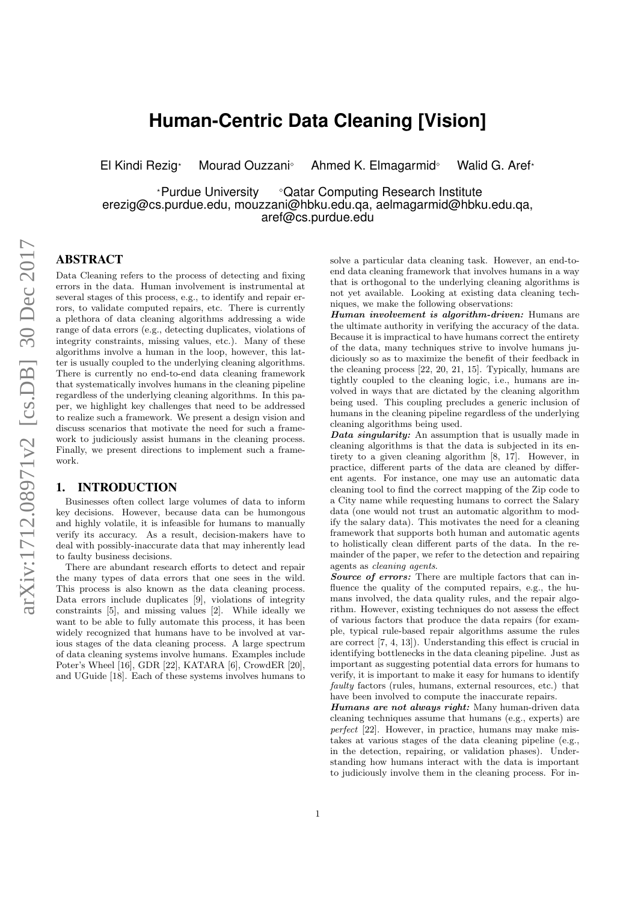# **Human-Centric Data Cleaning [Vision]**

El Kindi Rezig\* Mourad Ouzzani<sup>®</sup> Ahmed K. Elmagarmid<sup>®</sup> Walid G. Aref\*

\*Purdue University <sup>o</sup>Qatar Computing Research Institute erezig@cs.purdue.edu, mouzzani@hbku.edu.qa, aelmagarmid@hbku.edu.qa, aref@cs.purdue.edu

# ABSTRACT

Data Cleaning refers to the process of detecting and fixing errors in the data. Human involvement is instrumental at several stages of this process, e.g., to identify and repair errors, to validate computed repairs, etc. There is currently a plethora of data cleaning algorithms addressing a wide range of data errors (e.g., detecting duplicates, violations of integrity constraints, missing values, etc.). Many of these algorithms involve a human in the loop, however, this latter is usually coupled to the underlying cleaning algorithms. There is currently no end-to-end data cleaning framework that systematically involves humans in the cleaning pipeline regardless of the underlying cleaning algorithms. In this paper, we highlight key challenges that need to be addressed to realize such a framework. We present a design vision and discuss scenarios that motivate the need for such a framework to judiciously assist humans in the cleaning process. Finally, we present directions to implement such a framework.

# 1. INTRODUCTION

Businesses often collect large volumes of data to inform key decisions. However, because data can be humongous and highly volatile, it is infeasible for humans to manually verify its accuracy. As a result, decision-makers have to deal with possibly-inaccurate data that may inherently lead to faulty business decisions.

There are abundant research efforts to detect and repair the many types of data errors that one sees in the wild. This process is also known as the data cleaning process. Data errors include duplicates [9], violations of integrity constraints [5], and missing values [2]. While ideally we want to be able to fully automate this process, it has been widely recognized that humans have to be involved at various stages of the data cleaning process. A large spectrum of data cleaning systems involve humans. Examples include Poter's Wheel [16], GDR [22], KATARA [6], CrowdER [20], and UGuide [18]. Each of these systems involves humans to solve a particular data cleaning task. However, an end-toend data cleaning framework that involves humans in a way that is orthogonal to the underlying cleaning algorithms is not yet available. Looking at existing data cleaning techniques, we make the following observations:

Human involvement is algorithm-driven: Humans are the ultimate authority in verifying the accuracy of the data. Because it is impractical to have humans correct the entirety of the data, many techniques strive to involve humans judiciously so as to maximize the benefit of their feedback in the cleaning process [22, 20, 21, 15]. Typically, humans are tightly coupled to the cleaning logic, i.e., humans are involved in ways that are dictated by the cleaning algorithm being used. This coupling precludes a generic inclusion of humans in the cleaning pipeline regardless of the underlying cleaning algorithms being used.

Data singularity: An assumption that is usually made in cleaning algorithms is that the data is subjected in its entirety to a given cleaning algorithm [8, 17]. However, in practice, different parts of the data are cleaned by different agents. For instance, one may use an automatic data cleaning tool to find the correct mapping of the Zip code to a City name while requesting humans to correct the Salary data (one would not trust an automatic algorithm to modify the salary data). This motivates the need for a cleaning framework that supports both human and automatic agents to holistically clean different parts of the data. In the remainder of the paper, we refer to the detection and repairing agents as cleaning agents.

Source of errors: There are multiple factors that can influence the quality of the computed repairs, e.g., the humans involved, the data quality rules, and the repair algorithm. However, existing techniques do not assess the effect of various factors that produce the data repairs (for example, typical rule-based repair algorithms assume the rules are correct [7, 4, 13]). Understanding this effect is crucial in identifying bottlenecks in the data cleaning pipeline. Just as important as suggesting potential data errors for humans to verify, it is important to make it easy for humans to identify faulty factors (rules, humans, external resources, etc.) that have been involved to compute the inaccurate repairs.

Humans are not always right: Many human-driven data cleaning techniques assume that humans (e.g., experts) are perfect [22]. However, in practice, humans may make mistakes at various stages of the data cleaning pipeline (e.g., in the detection, repairing, or validation phases). Understanding how humans interact with the data is important to judiciously involve them in the cleaning process. For in-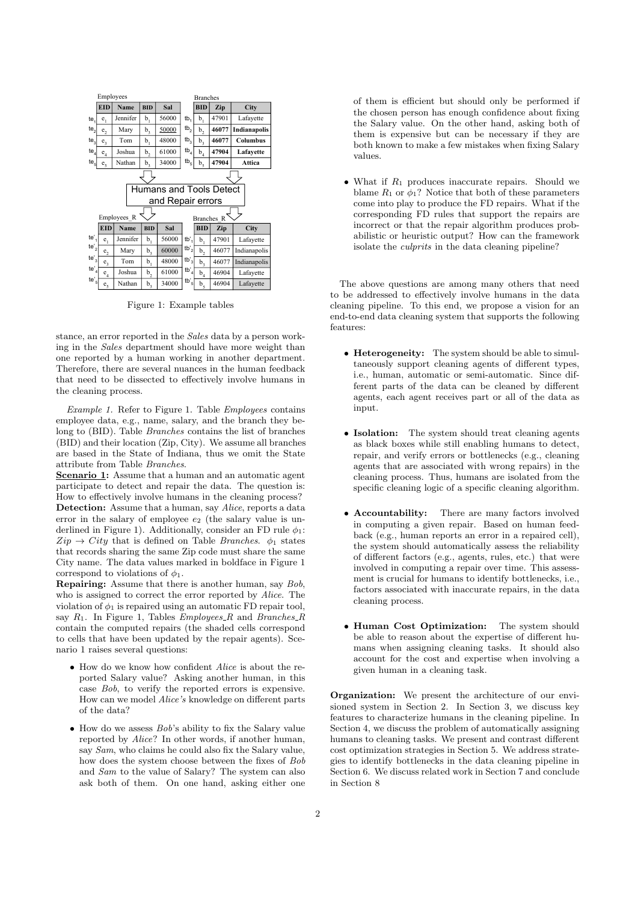

Figure 1: Example tables

stance, an error reported in the Sales data by a person working in the Sales department should have more weight than one reported by a human working in another department. Therefore, there are several nuances in the human feedback that need to be dissected to effectively involve humans in the cleaning process.

Example 1. Refer to Figure 1. Table Employees contains employee data, e.g., name, salary, and the branch they belong to (BID). Table Branches contains the list of branches (BID) and their location (Zip, City). We assume all branches are based in the State of Indiana, thus we omit the State attribute from Table Branches.

Scenario 1: Assume that a human and an automatic agent participate to detect and repair the data. The question is: How to effectively involve humans in the cleaning process? Detection: Assume that a human, say *Alice*, reports a data error in the salary of employee  $e_2$  (the salary value is underlined in Figure 1). Additionally, consider an FD rule  $\phi_1$ :  $Zip \rightarrow City$  that is defined on Table *Branches*.  $\phi_1$  states that records sharing the same Zip code must share the same City name. The data values marked in boldface in Figure 1 correspond to violations of  $\phi_1$ .

Repairing: Assume that there is another human, say Bob, who is assigned to correct the error reported by Alice. The violation of  $\phi_1$  is repaired using an automatic FD repair tool, say  $R_1$ . In Figure 1, Tables *Employees R* and *Branches R* contain the computed repairs (the shaded cells correspond to cells that have been updated by the repair agents). Scenario 1 raises several questions:

- How do we know how confident Alice is about the reported Salary value? Asking another human, in this case Bob, to verify the reported errors is expensive. How can we model Alice's knowledge on different parts of the data?
- $\bullet$  How do we assess  $Bob$ 's ability to fix the Salary value reported by Alice? In other words, if another human, say Sam, who claims he could also fix the Salary value, how does the system choose between the fixes of Bob and Sam to the value of Salary? The system can also ask both of them. On one hand, asking either one

of them is efficient but should only be performed if the chosen person has enough confidence about fixing the Salary value. On the other hand, asking both of them is expensive but can be necessary if they are both known to make a few mistakes when fixing Salary values.

• What if  $R_1$  produces inaccurate repairs. Should we blame  $R_1$  or  $\phi_1$ ? Notice that both of these parameters come into play to produce the FD repairs. What if the corresponding FD rules that support the repairs are incorrect or that the repair algorithm produces probabilistic or heuristic output? How can the framework isolate the culprits in the data cleaning pipeline?

The above questions are among many others that need to be addressed to effectively involve humans in the data cleaning pipeline. To this end, we propose a vision for an end-to-end data cleaning system that supports the following features:

- Heterogeneity: The system should be able to simultaneously support cleaning agents of different types, i.e., human, automatic or semi-automatic. Since different parts of the data can be cleaned by different agents, each agent receives part or all of the data as input.
- Isolation: The system should treat cleaning agents as black boxes while still enabling humans to detect, repair, and verify errors or bottlenecks (e.g., cleaning agents that are associated with wrong repairs) in the cleaning process. Thus, humans are isolated from the specific cleaning logic of a specific cleaning algorithm.
- Accountability: There are many factors involved in computing a given repair. Based on human feedback (e.g., human reports an error in a repaired cell), the system should automatically assess the reliability of different factors (e.g., agents, rules, etc.) that were involved in computing a repair over time. This assessment is crucial for humans to identify bottlenecks, i.e., factors associated with inaccurate repairs, in the data cleaning process.
- Human Cost Optimization: The system should be able to reason about the expertise of different humans when assigning cleaning tasks. It should also account for the cost and expertise when involving a given human in a cleaning task.

Organization: We present the architecture of our envisioned system in Section 2. In Section 3, we discuss key features to characterize humans in the cleaning pipeline. In Section 4, we discuss the problem of automatically assigning humans to cleaning tasks. We present and contrast different cost optimization strategies in Section 5. We address strategies to identify bottlenecks in the data cleaning pipeline in Section 6. We discuss related work in Section 7 and conclude in Section 8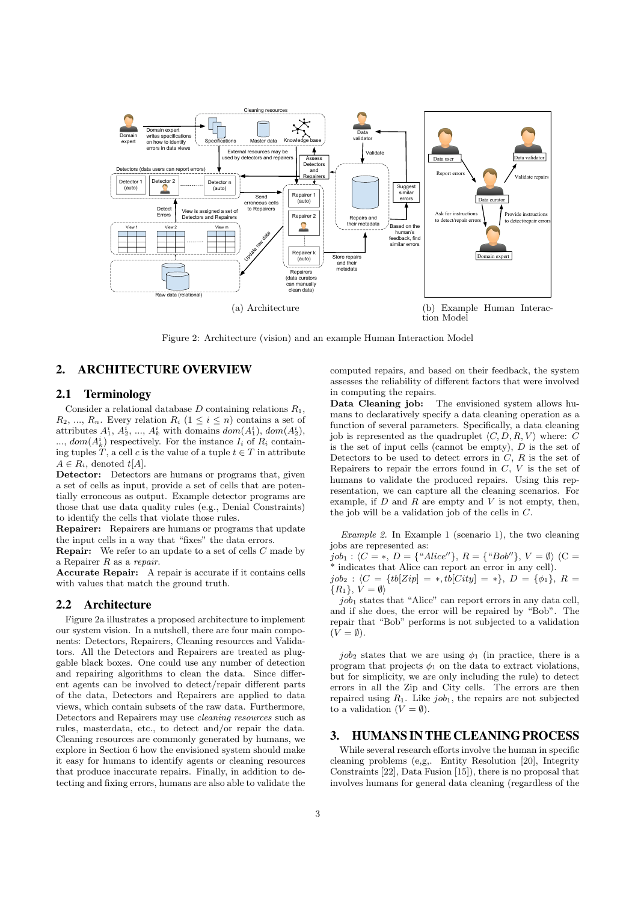

Figure 2: Architecture (vision) and an example Human Interaction Model

# 2. ARCHITECTURE OVERVIEW

# 2.1 Terminology

Consider a relational database  $D$  containing relations  $R_1$ ,  $R_2, ..., R_n$ . Every relation  $R_i$   $(1 \leq i \leq n)$  contains a set of attributes  $A_1^i$ ,  $A_2^i$ , ...,  $A_k^i$  with domains  $dom(A_1^i)$ ,  $dom(A_2^i)$ ,  $..., dom(A_k^i)$  respectively. For the instance  $I_i$  of  $R_i$  containing tuples T, a cell c is the value of a tuple  $t \in T$  in attribute  $A \in R_i$ , denoted  $t[A]$ .

Detector: Detectors are humans or programs that, given a set of cells as input, provide a set of cells that are potentially erroneous as output. Example detector programs are those that use data quality rules (e.g., Denial Constraints) to identify the cells that violate those rules.

Repairer: Repairers are humans or programs that update the input cells in a way that "fixes" the data errors.

**Repair:** We refer to an update to a set of cells  $C$  made by a Repairer R as a repair.

Accurate Repair: A repair is accurate if it contains cells with values that match the ground truth.

## 2.2 Architecture

Figure 2a illustrates a proposed architecture to implement our system vision. In a nutshell, there are four main components: Detectors, Repairers, Cleaning resources and Validators. All the Detectors and Repairers are treated as pluggable black boxes. One could use any number of detection and repairing algorithms to clean the data. Since different agents can be involved to detect/repair different parts of the data, Detectors and Repairers are applied to data views, which contain subsets of the raw data. Furthermore, Detectors and Repairers may use cleaning resources such as rules, masterdata, etc., to detect and/or repair the data. Cleaning resources are commonly generated by humans, we explore in Section 6 how the envisioned system should make it easy for humans to identify agents or cleaning resources that produce inaccurate repairs. Finally, in addition to detecting and fixing errors, humans are also able to validate the computed repairs, and based on their feedback, the system assesses the reliability of different factors that were involved in computing the repairs.

Data Cleaning job: The envisioned system allows humans to declaratively specify a data cleaning operation as a function of several parameters. Specifically, a data cleaning job is represented as the quadruplet  $\langle C, D, R, V \rangle$  where: C is the set of input cells (cannot be empty),  $D$  is the set of Detectors to be used to detect errors in  $C, R$  is the set of Repairers to repair the errors found in  $C, V$  is the set of humans to validate the produced repairs. Using this representation, we can capture all the cleaning scenarios. For example, if  $D$  and  $R$  are empty and  $V$  is not empty, then, the job will be a validation job of the cells in C.

Example 2. In Example 1 (scenario 1), the two cleaning jobs are represented as:  $j \circ b_1 : \langle C = * , D = \{``Alice''\}, R = \{``Bob''\}, V = \emptyset \rangle \; (C =$ \* indicates that Alice can report an error in any cell).  $job_2$  :  $\langle C = \{tb[Zip] = *, tb[City] = * \}, D = {\phi_1}, R =$  $\{R_1\}, V = \emptyset$ 

 $job<sub>1</sub>$  states that "Alice" can report errors in any data cell, and if she does, the error will be repaired by "Bob". The repair that "Bob" performs is not subjected to a validation  $(V = \emptyset).$ 

 $job_2$  states that we are using  $\phi_1$  (in practice, there is a program that projects  $\phi_1$  on the data to extract violations, but for simplicity, we are only including the rule) to detect errors in all the Zip and City cells. The errors are then repaired using  $R_1$ . Like job<sub>1</sub>, the repairs are not subjected to a validation  $(V = \emptyset)$ .

#### 3. HUMANS IN THE CLEANING PROCESS

While several research efforts involve the human in specific cleaning problems (e,g,. Entity Resolution [20], Integrity Constraints [22], Data Fusion [15]), there is no proposal that involves humans for general data cleaning (regardless of the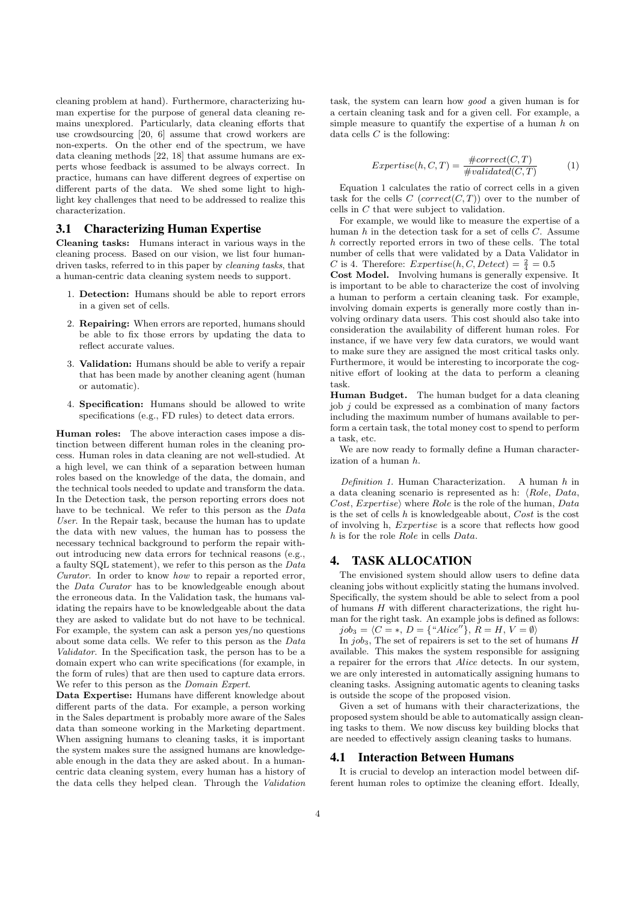cleaning problem at hand). Furthermore, characterizing human expertise for the purpose of general data cleaning remains unexplored. Particularly, data cleaning efforts that use crowdsourcing [20, 6] assume that crowd workers are non-experts. On the other end of the spectrum, we have data cleaning methods [22, 18] that assume humans are experts whose feedback is assumed to be always correct. In practice, humans can have different degrees of expertise on different parts of the data. We shed some light to highlight key challenges that need to be addressed to realize this characterization.

# 3.1 Characterizing Human Expertise

Cleaning tasks: Humans interact in various ways in the cleaning process. Based on our vision, we list four humandriven tasks, referred to in this paper by cleaning tasks, that a human-centric data cleaning system needs to support.

- 1. Detection: Humans should be able to report errors in a given set of cells.
- 2. Repairing: When errors are reported, humans should be able to fix those errors by updating the data to reflect accurate values.
- 3. Validation: Humans should be able to verify a repair that has been made by another cleaning agent (human or automatic).
- 4. Specification: Humans should be allowed to write specifications (e.g., FD rules) to detect data errors.

Human roles: The above interaction cases impose a distinction between different human roles in the cleaning process. Human roles in data cleaning are not well-studied. At a high level, we can think of a separation between human roles based on the knowledge of the data, the domain, and the technical tools needed to update and transform the data. In the Detection task, the person reporting errors does not have to be technical. We refer to this person as the Data User. In the Repair task, because the human has to update the data with new values, the human has to possess the necessary technical background to perform the repair without introducing new data errors for technical reasons (e.g., a faulty SQL statement), we refer to this person as the Data Curator. In order to know how to repair a reported error, the Data Curator has to be knowledgeable enough about the erroneous data. In the Validation task, the humans validating the repairs have to be knowledgeable about the data they are asked to validate but do not have to be technical. For example, the system can ask a person yes/no questions about some data cells. We refer to this person as the Data Validator. In the Specification task, the person has to be a domain expert who can write specifications (for example, in the form of rules) that are then used to capture data errors. We refer to this person as the Domain Expert.

Data Expertise: Humans have different knowledge about different parts of the data. For example, a person working in the Sales department is probably more aware of the Sales data than someone working in the Marketing department. When assigning humans to cleaning tasks, it is important the system makes sure the assigned humans are knowledgeable enough in the data they are asked about. In a humancentric data cleaning system, every human has a history of the data cells they helped clean. Through the Validation task, the system can learn how good a given human is for a certain cleaning task and for a given cell. For example, a simple measure to quantify the expertise of a human  $h$  on data cells  $C$  is the following:

$$
Expertise(h, C, T) = \frac{\#correct(C, T)}{\#validated(C, T)}
$$
 (1)

Equation 1 calculates the ratio of correct cells in a given task for the cells  $C$  (correct( $C, T$ )) over to the number of cells in C that were subject to validation.

For example, we would like to measure the expertise of a human  $h$  in the detection task for a set of cells  $C$ . Assume h correctly reported errors in two of these cells. The total number of cells that were validated by a Data Validator in C is 4. Therefore:  $Expertise(h, C, Detect) = \frac{2}{4} = 0.5$ 

Cost Model. Involving humans is generally expensive. It is important to be able to characterize the cost of involving a human to perform a certain cleaning task. For example, involving domain experts is generally more costly than involving ordinary data users. This cost should also take into consideration the availability of different human roles. For instance, if we have very few data curators, we would want to make sure they are assigned the most critical tasks only. Furthermore, it would be interesting to incorporate the cognitive effort of looking at the data to perform a cleaning task.

Human Budget. The human budget for a data cleaning  $\phi$  iob *i* could be expressed as a combination of many factors including the maximum number of humans available to perform a certain task, the total money cost to spend to perform a task, etc.

We are now ready to formally define a Human characterization of a human h.

Definition 1. Human Characterization. A human h in a data cleaning scenario is represented as h:  $\langle Role, Data,$ Cost, Expertise) where Role is the role of the human, Data is the set of cells  $h$  is knowledgeable about,  $Cost$  is the cost of involving h, Expertise is a score that reflects how good h is for the role Role in cells Data.

## 4. TASK ALLOCATION

The envisioned system should allow users to define data cleaning jobs without explicitly stating the humans involved. Specifically, the system should be able to select from a pool of humans  $H$  with different characterizations, the right human for the right task. An example jobs is defined as follows:  $job_3 = \langle C = *, D = \{``Alice''\}, R = H, V = \emptyset \rangle$ 

In  $job_3$ , The set of repairers is set to the set of humans  $H$ available. This makes the system responsible for assigning a repairer for the errors that Alice detects. In our system, we are only interested in automatically assigning humans to cleaning tasks. Assigning automatic agents to cleaning tasks is outside the scope of the proposed vision.

Given a set of humans with their characterizations, the proposed system should be able to automatically assign cleaning tasks to them. We now discuss key building blocks that are needed to effectively assign cleaning tasks to humans.

## 4.1 Interaction Between Humans

It is crucial to develop an interaction model between different human roles to optimize the cleaning effort. Ideally,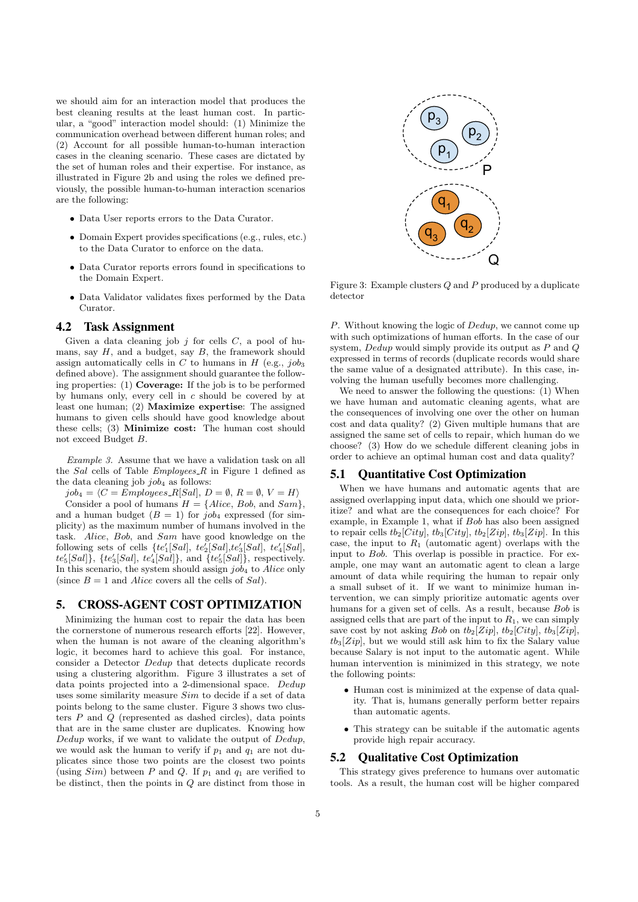we should aim for an interaction model that produces the best cleaning results at the least human cost. In particular, a "good" interaction model should: (1) Minimize the communication overhead between different human roles; and (2) Account for all possible human-to-human interaction cases in the cleaning scenario. These cases are dictated by the set of human roles and their expertise. For instance, as illustrated in Figure 2b and using the roles we defined previously, the possible human-to-human interaction scenarios are the following:

- Data User reports errors to the Data Curator.
- Domain Expert provides specifications (e.g., rules, etc.) to the Data Curator to enforce on the data.
- Data Curator reports errors found in specifications to the Domain Expert.
- Data Validator validates fixes performed by the Data Curator.

#### 4.2 Task Assignment

Given a data cleaning job  $j$  for cells  $C$ , a pool of humans, say  $H$ , and a budget, say  $B$ , the framework should assign automatically cells in C to humans in H (e.g.,  $job_3$ ) defined above). The assignment should guarantee the following properties: (1) Coverage: If the job is to be performed by humans only, every cell in c should be covered by at least one human; (2) Maximize expertise: The assigned humans to given cells should have good knowledge about these cells; (3) Minimize cost: The human cost should not exceed Budget B.

Example 3. Assume that we have a validation task on all the Sal cells of Table  $Employes\_R$  in Figure 1 defined as the data cleaning job  $job_4$  as follows:

 $job_4 = \langle C = Employes\_R[Sal], D = \emptyset, R = \emptyset, V = H \rangle$ 

Consider a pool of humans  $H = \{Alice, Bob, and Sam\}$ , and a human budget  $(B = 1)$  for job<sub>4</sub> expressed (for simplicity) as the maximum number of humans involved in the task. Alice, Bob, and Sam have good knowledge on the following sets of cells  $\{te'_1[Sal], te'_2[Sal], te'_3[Sal], te'_4[Sal],$  $te_5'[Sal]$ ,  $\{te_3'[Sal]$ ,  $te_4'[Sal]$ , and  $\{te_5'[Sal]\}$ , respectively. In this scenario, the system should assign  $job_4$  to  $Alice$  only (since  $B = 1$  and Alice covers all the cells of Sal).

#### 5. CROSS-AGENT COST OPTIMIZATION

Minimizing the human cost to repair the data has been the cornerstone of numerous research efforts [22]. However, when the human is not aware of the cleaning algorithm's logic, it becomes hard to achieve this goal. For instance, consider a Detector Dedup that detects duplicate records using a clustering algorithm. Figure 3 illustrates a set of data points projected into a 2-dimensional space. Dedup uses some similarity measure Sim to decide if a set of data points belong to the same cluster. Figure 3 shows two clusters  $P$  and  $Q$  (represented as dashed circles), data points that are in the same cluster are duplicates. Knowing how Dedup works, if we want to validate the output of Dedup, we would ask the human to verify if  $p_1$  and  $q_1$  are not duplicates since those two points are the closest two points (using  $Sim$ ) between P and Q. If  $p_1$  and  $q_1$  are verified to be distinct, then the points in  $Q$  are distinct from those in



Figure 3: Example clusters Q and P produced by a duplicate detector

P. Without knowing the logic of Dedup, we cannot come up with such optimizations of human efforts. In the case of our system, Dedup would simply provide its output as P and Q expressed in terms of records (duplicate records would share the same value of a designated attribute). In this case, involving the human usefully becomes more challenging.

We need to answer the following the questions: (1) When we have human and automatic cleaning agents, what are the consequences of involving one over the other on human cost and data quality? (2) Given multiple humans that are assigned the same set of cells to repair, which human do we choose? (3) How do we schedule different cleaning jobs in order to achieve an optimal human cost and data quality?

## 5.1 Quantitative Cost Optimization

When we have humans and automatic agents that are assigned overlapping input data, which one should we prioritize? and what are the consequences for each choice? For example, in Example 1, what if Bob has also been assigned to repair cells  $tb_2[City]$ ,  $tb_3[City]$ ,  $tb_2[Zip]$ ,  $tb_3[Zip]$ . In this case, the input to  $R_1$  (automatic agent) overlaps with the input to Bob. This overlap is possible in practice. For example, one may want an automatic agent to clean a large amount of data while requiring the human to repair only a small subset of it. If we want to minimize human intervention, we can simply prioritize automatic agents over humans for a given set of cells. As a result, because Bob is assigned cells that are part of the input to  $R_1$ , we can simply save cost by not asking Bob on  $tb_2[Zip]$ ,  $tb_2[City]$ ,  $tb_3[Zip]$ ,  $tb_3[Zip]$ , but we would still ask him to fix the Salary value because Salary is not input to the automatic agent. While human intervention is minimized in this strategy, we note the following points:

- Human cost is minimized at the expense of data quality. That is, humans generally perform better repairs than automatic agents.
- This strategy can be suitable if the automatic agents provide high repair accuracy.

## 5.2 Qualitative Cost Optimization

This strategy gives preference to humans over automatic tools. As a result, the human cost will be higher compared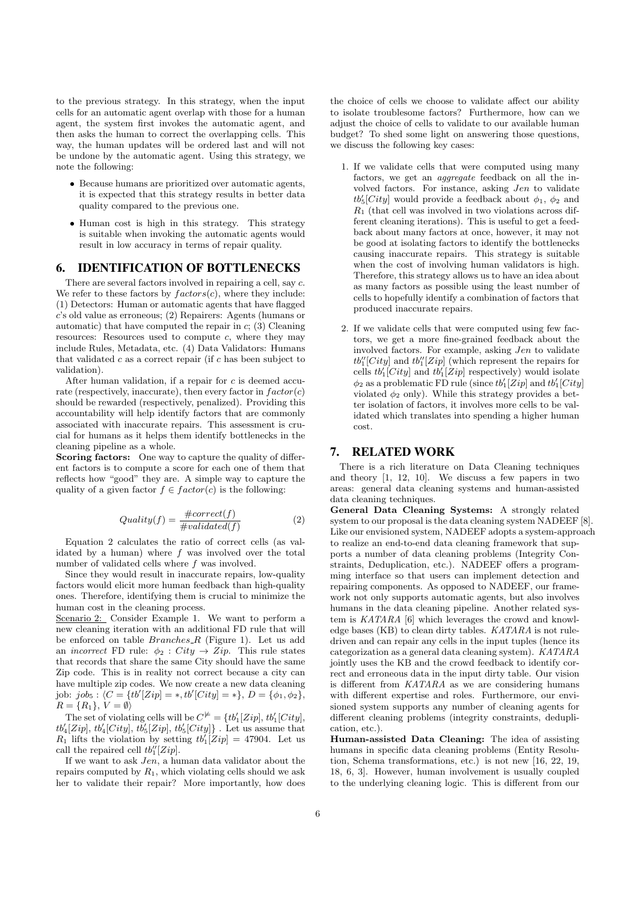to the previous strategy. In this strategy, when the input cells for an automatic agent overlap with those for a human agent, the system first invokes the automatic agent, and then asks the human to correct the overlapping cells. This way, the human updates will be ordered last and will not be undone by the automatic agent. Using this strategy, we note the following:

- Because humans are prioritized over automatic agents, it is expected that this strategy results in better data quality compared to the previous one.
- Human cost is high in this strategy. This strategy is suitable when invoking the automatic agents would result in low accuracy in terms of repair quality.

#### 6. IDENTIFICATION OF BOTTLENECKS

There are several factors involved in repairing a cell, say c. We refer to these factors by  $factors(c)$ , where they include: (1) Detectors: Human or automatic agents that have flagged c's old value as erroneous; (2) Repairers: Agents (humans or automatic) that have computed the repair in  $c$ ; (3) Cleaning resources: Resources used to compute  $c$ , where they may include Rules, Metadata, etc. (4) Data Validators: Humans that validated  $c$  as a correct repair (if  $c$  has been subject to validation).

After human validation, if a repair for c is deemed accurate (respectively, inaccurate), then every factor in  $factor(c)$ should be rewarded (respectively, penalized). Providing this accountability will help identify factors that are commonly associated with inaccurate repairs. This assessment is crucial for humans as it helps them identify bottlenecks in the cleaning pipeline as a whole.

Scoring factors: One way to capture the quality of different factors is to compute a score for each one of them that reflects how "good" they are. A simple way to capture the quality of a given factor  $f \in factor(c)$  is the following:

$$
Quality(f) = \frac{\#correct(f)}{\#validated(f)}
$$
 (2)

Equation 2 calculates the ratio of correct cells (as validated by a human) where  $f$  was involved over the total number of validated cells where f was involved.

Since they would result in inaccurate repairs, low-quality factors would elicit more human feedback than high-quality ones. Therefore, identifying them is crucial to minimize the human cost in the cleaning process.

Scenario 2: Consider Example 1. We want to perform a new cleaning iteration with an additional FD rule that will be enforced on table  $Branches_R$  (Figure 1). Let us add an *incorrect* FD rule:  $\phi_2$ : City  $\rightarrow$  Zip. This rule states that records that share the same City should have the same Zip code. This is in reality not correct because a city can have multiple zip codes. We now create a new data cleaning job:  $job_5$ :  $\langle C = \{tb'[Zip] = *, tb'[City] = * \}, D = \{\phi_1, \phi_2\},\$  $R = \{R_1\}, V = \emptyset$ 

The set of violating cells will be  $C^{\neq} = \{tb'_1[Zip], tb'_1[City],$  $tb'_4[Zip]$ ,  $tb'_4[City]$ ,  $tb'_5[Zip]$ ,  $tb'_5[City]$ . Let us assume that  $R_1$  lifts the violation by setting  $tb'_1[Zip] = 47904$ . Let us call the repaired cell  $tb_1''[Zip].$ 

If we want to ask Jen, a human data validator about the repairs computed by  $R_1$ , which violating cells should we ask her to validate their repair? More importantly, how does the choice of cells we choose to validate affect our ability to isolate troublesome factors? Furthermore, how can we adjust the choice of cells to validate to our available human budget? To shed some light on answering those questions, we discuss the following key cases:

- 1. If we validate cells that were computed using many factors, we get an aggregate feedback on all the involved factors. For instance, asking Jen to validate  $tb_5'[City]$  would provide a feedback about  $\phi_1$ ,  $\phi_2$  and  $R_1$  (that cell was involved in two violations across different cleaning iterations). This is useful to get a feedback about many factors at once, however, it may not be good at isolating factors to identify the bottlenecks causing inaccurate repairs. This strategy is suitable when the cost of involving human validators is high. Therefore, this strategy allows us to have an idea about as many factors as possible using the least number of cells to hopefully identify a combination of factors that produced inaccurate repairs.
- 2. If we validate cells that were computed using few factors, we get a more fine-grained feedback about the involved factors. For example, asking Jen to validate  $tb''_1[City]$  and  $tb''_1[Zip]$  (which represent the repairs for cells  $tb'_{1}[City]$  and  $tb'_{1}[Zip]$  respectively) would isolate  $\phi_2$  as a problematic FD rule (since  $tb'_1[Zip]$  and  $tb'_1[City]$ violated  $\phi_2$  only). While this strategy provides a better isolation of factors, it involves more cells to be validated which translates into spending a higher human cost.

# 7. RELATED WORK

There is a rich literature on Data Cleaning techniques and theory [1, 12, 10]. We discuss a few papers in two areas: general data cleaning systems and human-assisted data cleaning techniques.

General Data Cleaning Systems: A strongly related system to our proposal is the data cleaning system NADEEF [8]. Like our envisioned system, NADEEF adopts a system-approach to realize an end-to-end data cleaning framework that supports a number of data cleaning problems (Integrity Constraints, Deduplication, etc.). NADEEF offers a programming interface so that users can implement detection and repairing components. As opposed to NADEEF, our framework not only supports automatic agents, but also involves humans in the data cleaning pipeline. Another related system is KATARA [6] which leverages the crowd and knowledge bases (KB) to clean dirty tables. KATARA is not ruledriven and can repair any cells in the input tuples (hence its categorization as a general data cleaning system). KATARA jointly uses the KB and the crowd feedback to identify correct and erroneous data in the input dirty table. Our vision is different from KATARA as we are considering humans with different expertise and roles. Furthermore, our envisioned system supports any number of cleaning agents for different cleaning problems (integrity constraints, deduplication, etc.).

Human-assisted Data Cleaning: The idea of assisting humans in specific data cleaning problems (Entity Resolution, Schema transformations, etc.) is not new [16, 22, 19, 18, 6, 3]. However, human involvement is usually coupled to the underlying cleaning logic. This is different from our